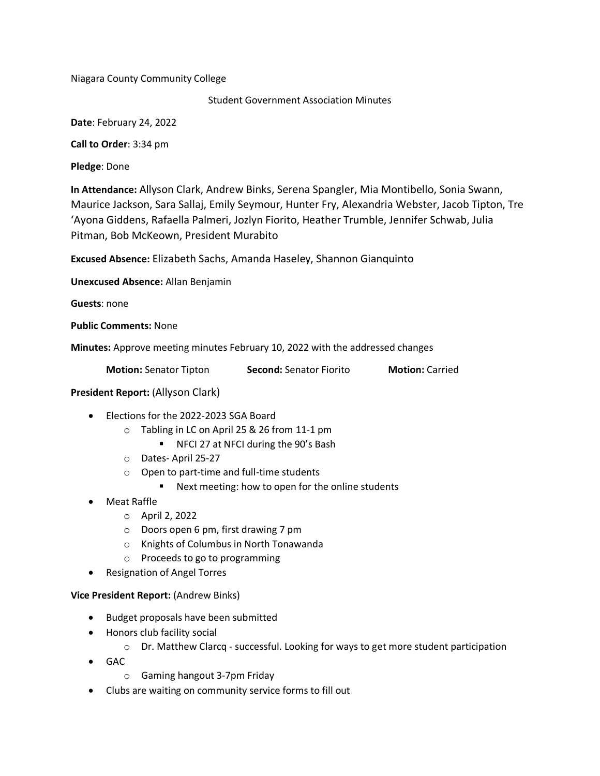# Niagara County Community College

Student Government Association Minutes

**Date**: February 24, 2022

**Call to Order**: 3:34 pm

**Pledge**: Done

**In Attendance:** Allyson Clark, Andrew Binks, Serena Spangler, Mia Montibello, Sonia Swann, Maurice Jackson, Sara Sallaj, Emily Seymour, Hunter Fry, Alexandria Webster, Jacob Tipton, Tre 'Ayona Giddens, Rafaella Palmeri, Jozlyn Fiorito, Heather Trumble, Jennifer Schwab, Julia Pitman, Bob McKeown, President Murabito

**Excused Absence:** Elizabeth Sachs, Amanda Haseley, Shannon Gianquinto

**Unexcused Absence:** Allan Benjamin

**Guests**: none

# **Public Comments:** None

**Minutes:** Approve meeting minutes February 10, 2022 with the addressed changes

**Motion:** Senator Tipton **Second:** Senator Fiorito **Motion:** Carried

# **President Report:** (Allyson Clark)

- Elections for the 2022-2023 SGA Board
	- o Tabling in LC on April 25 & 26 from 11-1 pm
		- NFCI 27 at NFCI during the 90's Bash
	- o Dates- April 25-27
	- o Open to part-time and full-time students
		- Next meeting: how to open for the online students
- Meat Raffle
	- o April 2, 2022
	- o Doors open 6 pm, first drawing 7 pm
	- o Knights of Columbus in North Tonawanda
	- o Proceeds to go to programming
- Resignation of Angel Torres

## **Vice President Report:** (Andrew Binks)

- Budget proposals have been submitted
- Honors club facility social
	- o Dr. Matthew Clarcq successful. Looking for ways to get more student participation
- GAC
	- o Gaming hangout 3-7pm Friday
- Clubs are waiting on community service forms to fill out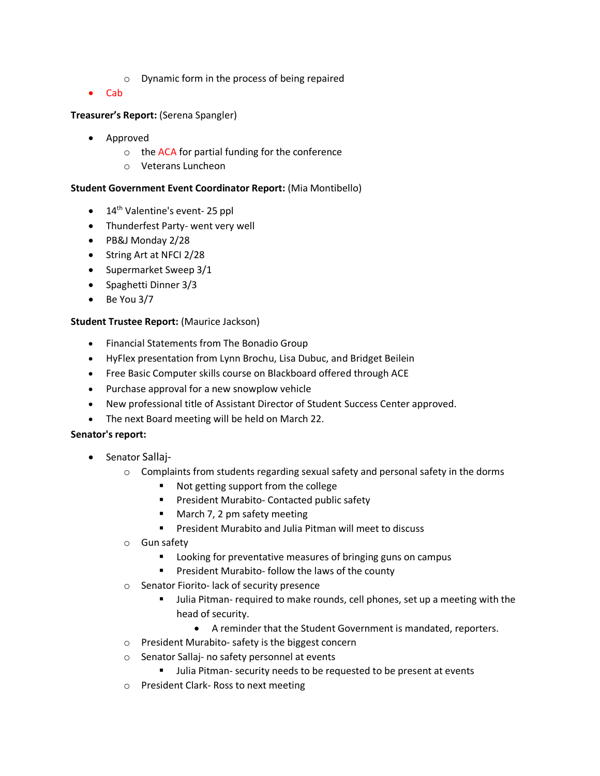- o Dynamic form in the process of being repaired
- Cab

## **Treasurer's Report:** (Serena Spangler)

- Approved
	- o the ACA for partial funding for the conference
	- o Veterans Luncheon

## **Student Government Event Coordinator Report:** (Mia Montibello)

- $\bullet$  14<sup>th</sup> Valentine's event-25 ppl
- Thunderfest Party- went very well
- PB&J Monday 2/28
- String Art at NFCI 2/28
- Supermarket Sweep 3/1
- Spaghetti Dinner 3/3
- Be You 3/7

## **Student Trustee Report:** (Maurice Jackson)

- Financial Statements from The Bonadio Group
- HyFlex presentation from Lynn Brochu, Lisa Dubuc, and Bridget Beilein
- Free Basic Computer skills course on Blackboard offered through ACE
- Purchase approval for a new snowplow vehicle
- New professional title of Assistant Director of Student Success Center approved.
- The next Board meeting will be held on March 22.

## **Senator's report:**

- Senator Sallaj-
	- $\circ$  Complaints from students regarding sexual safety and personal safety in the dorms
		- Not getting support from the college
		- President Murabito- Contacted public safety
		- March 7, 2 pm safety meeting
		- President Murabito and Julia Pitman will meet to discuss
	- o Gun safety
		- Looking for preventative measures of bringing guns on campus
		- President Murabito- follow the laws of the county
	- o Senator Fiorito- lack of security presence
		- § Julia Pitman- required to make rounds, cell phones, set up a meeting with the head of security.
			- A reminder that the Student Government is mandated, reporters.
	- o President Murabito- safety is the biggest concern
	- o Senator Sallaj- no safety personnel at events
		- Julia Pitman- security needs to be requested to be present at events
	- o President Clark- Ross to next meeting